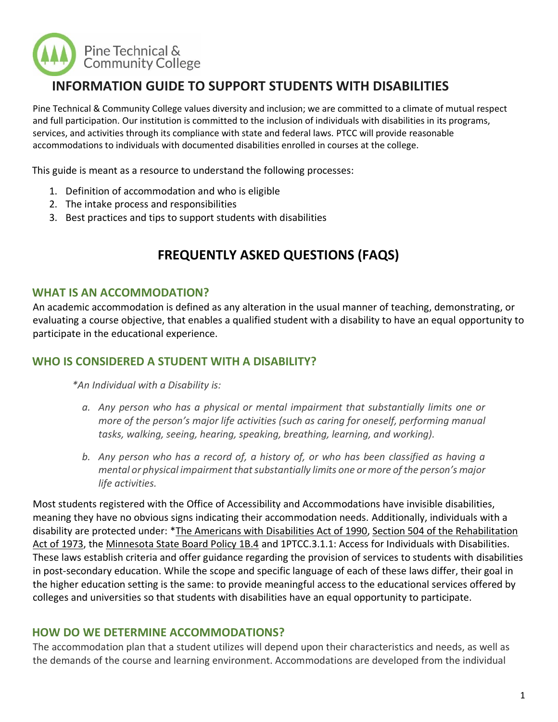

# **INFORMATION GUIDE TO SUPPORT STUDENTS WITH DISABILITIES**

Pine Technical & Community College values diversity and inclusion; we are committed to a climate of mutual respect and full participation. Our institution is committed to the inclusion of individuals with disabilities in its programs, services, and activities through its compliance with state and federal laws. PTCC will provide reasonable accommodations to individuals with documented disabilities enrolled in courses at the college.

This guide is meant as a resource to understand the following processes:

- 1. Definition of accommodation and who is eligible
- 2. The intake process and responsibilities
- 3. Best practices and tips to support students with disabilities

# **FREQUENTLY ASKED QUESTIONS (FAQS)**

#### **WHAT IS AN ACCOMMODATION?**

An academic accommodation is defined as any alteration in the usual manner of teaching, demonstrating, or evaluating a course objective, that enables a qualified student with a disability to have an equal opportunity to participate in the educational experience.

#### **WHO IS CONSIDERED A STUDENT WITH A DISABILITY?**

*\*An Individual with a Disability is:*

- *a. Any person who has a physical or mental impairment that substantially limits one or more of the person's major life activities (such as caring for oneself, performing manual tasks, walking, seeing, hearing, speaking, breathing, learning, and working).*
- *b. Any person who has a record of, a history of, or who has been classified as having a mental or physical impairment that substantially limits one or more of the person's major life activities.*

Most students registered with the Office of Accessibility and Accommodations have invisible disabilities, meaning they have no obvious signs indicating their accommodation needs. Additionally, individuals with a disability are protected under: [\\*The Americans with Disabilities Act of 1990,](https://www.ada.gov/ada_intro.htm) [Section 504 of the Rehabilitation](https://www2.ed.gov/about/offices/list/ocr/504faq.html)  [Act of 1973,](https://www2.ed.gov/about/offices/list/ocr/504faq.html) the [Minnesota State Board Policy 1B.4](http://www.minnstate.edu/board/policy/1b04.html) and 1PTCC.3.1.1: Access for Individuals with Disabilities. These laws establish criteria and offer guidance regarding the provision of services to students with disabilities in post-secondary education. While the scope and specific language of each of these laws differ, their goal in the higher education setting is the same: to provide meaningful access to the educational services offered by colleges and universities so that students with disabilities have an equal opportunity to participate.

#### **HOW DO WE DETERMINE ACCOMMODATIONS?**

The accommodation plan that a student utilizes will depend upon their characteristics and needs, as well as the demands of the course and learning environment. Accommodations are developed from the individual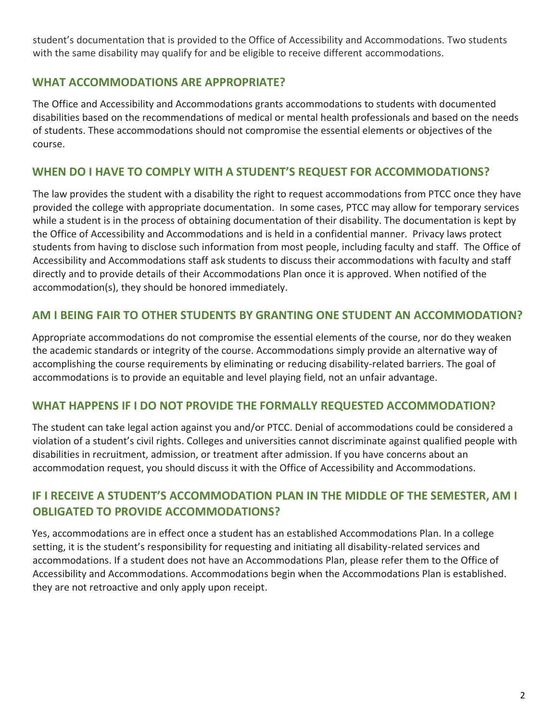student's documentation that is provided to the Office of Accessibility and Accommodations. Two students with the same disability may qualify for and be eligible to receive different accommodations.

#### **WHAT ACCOMMODATIONS ARE APPROPRIATE?**

The Office and Accessibility and Accommodations grants accommodations to students with documented disabilities based on the recommendations of medical or mental health professionals and based on the needs of students. These accommodations should not compromise the essential elements or objectives of the course.

#### **WHEN DO I HAVE TO COMPLY WITH A STUDENT'S REQUEST FOR ACCOMMODATIONS?**

The law provides the student with a disability the right to request accommodations from PTCC once they have provided the college with appropriate documentation. In some cases, PTCC may allow for temporary services while a student is in the process of obtaining documentation of their disability. The documentation is kept by the Office of Accessibility and Accommodations and is held in a confidential manner. Privacy laws protect students from having to disclose such information from most people, including faculty and staff. The Office of Accessibility and Accommodations staff ask students to discuss their accommodations with faculty and staff directly and to provide details of their Accommodations Plan once it is approved. When notified of the accommodation(s), they should be honored immediately.

#### **AM I BEING FAIR TO OTHER STUDENTS BY GRANTING ONE STUDENT AN ACCOMMODATION?**

Appropriate accommodations do not compromise the essential elements of the course, nor do they weaken the academic standards or integrity of the course. Accommodations simply provide an alternative way of accomplishing the course requirements by eliminating or reducing disability-related barriers. The goal of accommodations is to provide an equitable and level playing field, not an unfair advantage.

#### **WHAT HAPPENS IF I DO NOT PROVIDE THE FORMALLY REQUESTED ACCOMMODATION?**

The student can take legal action against you and/or PTCC. Denial of accommodations could be considered a violation of a student's civil rights. Colleges and universities cannot discriminate against qualified people with disabilities in recruitment, admission, or treatment after admission. If you have concerns about an accommodation request, you should discuss it with the Office of Accessibility and Accommodations.

#### **IF I RECEIVE A STUDENT'S ACCOMMODATION PLAN IN THE MIDDLE OF THE SEMESTER, AM I OBLIGATED TO PROVIDE ACCOMMODATIONS?**

Yes, accommodations are in effect once a student has an established Accommodations Plan. In a college setting, it is the student's responsibility for requesting and initiating all disability-related services and accommodations. If a student does not have an Accommodations Plan, please refer them to the Office of Accessibility and Accommodations. Accommodations begin when the Accommodations Plan is established. they are not retroactive and only apply upon receipt.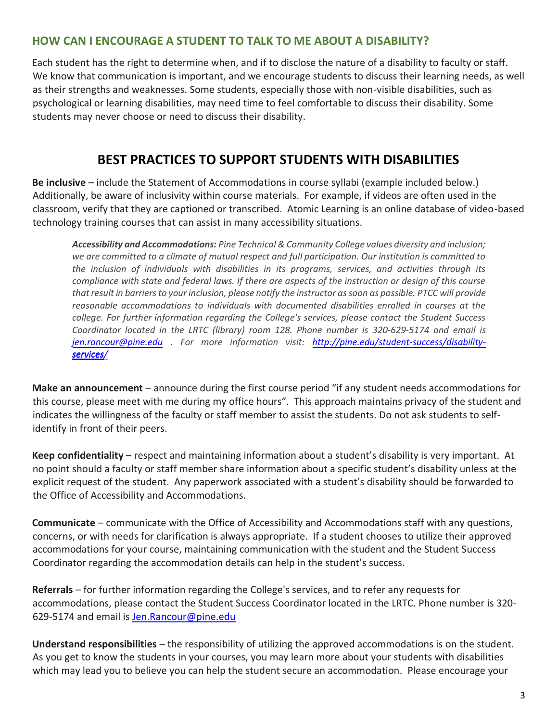#### **HOW CAN I ENCOURAGE A STUDENT TO TALK TO ME ABOUT A DISABILITY?**

Each student has the right to determine when, and if to disclose the nature of a disability to faculty or staff. We know that communication is important, and we encourage students to discuss their learning needs, as well as their strengths and weaknesses. Some students, especially those with non-visible disabilities, such as psychological or learning disabilities, may need time to feel comfortable to discuss their disability. Some students may never choose or need to discuss their disability.

## **BEST PRACTICES TO SUPPORT STUDENTS WITH DISABILITIES**

**Be inclusive** – include the Statement of Accommodations in course syllabi (example included below.) Additionally, be aware of inclusivity within course materials. For example, if videos are often used in the classroom, verify that they are captioned or transcribed. Atomic Learning is an online database of video-based technology training courses that can assist in many accessibility situations.

*Accessibility and Accommodations: Pine Technical & Community College values diversity and inclusion; we are committed to a climate of mutual respect and full participation. Our institution is committed to the inclusion of individuals with disabilities in its programs, services, and activities through its compliance with state and federal laws. If there are aspects of the instruction or design of this course that result in barriers to your inclusion, please notify the instructor as soon as possible. PTCC will provide reasonable accommodations to individuals with documented disabilities enrolled in courses at the college. For further information regarding the College's services, please contact the Student Success Coordinator located in the LRTC (library) room 128. Phone number is 320-629-5174 and email is [jen.rancour@pine.edu](mailto:jen.rancour@pine.edu) . For more information visit: [http://pine.edu/student-success/disability](http://www.pine.edu/student-services/disability-services)services [services/](http://www.pine.edu/student-services/disability-services).* 

**Make an announcement** – announce during the first course period "if any student needs accommodations for this course, please meet with me during my office hours". This approach maintains privacy of the student and indicates the willingness of the faculty or staff member to assist the students. Do not ask students to selfidentify in front of their peers.

**Keep confidentiality** – respect and maintaining information about a student's disability is very important. At no point should a faculty or staff member share information about a specific student's disability unless at the explicit request of the student. Any paperwork associated with a student's disability should be forwarded to the Office of Accessibility and Accommodations.

**Communicate** – communicate with the Office of Accessibility and Accommodations staff with any questions, concerns, or with needs for clarification is always appropriate. If a student chooses to utilize their approved accommodations for your course, maintaining communication with the student and the Student Success Coordinator regarding the accommodation details can help in the student's success.

**Referrals** – for further information regarding the College's services, and to refer any requests for accommodations, please contact the Student Success Coordinator located in the LRTC. Phone number is 320- 629-5174 and email is [Jen.Rancour@pine.edu](mailto:Jen.Rancour@pine.edu)

**Understand responsibilities** – the responsibility of utilizing the approved accommodations is on the student. As you get to know the students in your courses, you may learn more about your students with disabilities which may lead you to believe you can help the student secure an accommodation. Please encourage your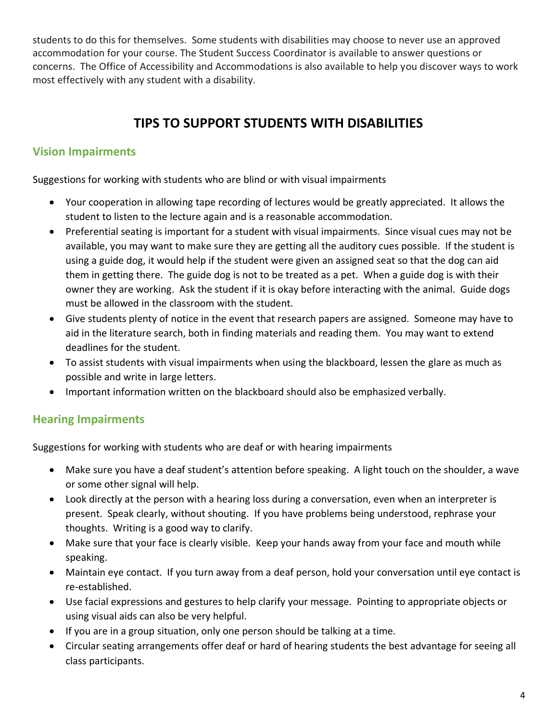students to do this for themselves. Some students with disabilities may choose to never use an approved accommodation for your course. The Student Success Coordinator is available to answer questions or concerns. The Office of Accessibility and Accommodations is also available to help you discover ways to work most effectively with any student with a disability.

# **TIPS TO SUPPORT STUDENTS WITH DISABILITIES**

### **Vision Impairments**

Suggestions for working with students who are blind or with visual impairments

- Your cooperation in allowing tape recording of lectures would be greatly appreciated. It allows the student to listen to the lecture again and is a reasonable accommodation.
- Preferential seating is important for a student with visual impairments. Since visual cues may not be available, you may want to make sure they are getting all the auditory cues possible. If the student is using a guide dog, it would help if the student were given an assigned seat so that the dog can aid them in getting there. The guide dog is not to be treated as a pet. When a guide dog is with their owner they are working. Ask the student if it is okay before interacting with the animal. Guide dogs must be allowed in the classroom with the student.
- Give students plenty of notice in the event that research papers are assigned. Someone may have to aid in the literature search, both in finding materials and reading them. You may want to extend deadlines for the student.
- To assist students with visual impairments when using the blackboard, lessen the glare as much as possible and write in large letters.
- Important information written on the blackboard should also be emphasized verbally.

## **Hearing Impairments**

Suggestions for working with students who are deaf or with hearing impairments

- Make sure you have a deaf student's attention before speaking. A light touch on the shoulder, a wave or some other signal will help.
- Look directly at the person with a hearing loss during a conversation, even when an interpreter is present. Speak clearly, without shouting. If you have problems being understood, rephrase your thoughts. Writing is a good way to clarify.
- Make sure that your face is clearly visible. Keep your hands away from your face and mouth while speaking.
- Maintain eye contact. If you turn away from a deaf person, hold your conversation until eye contact is re-established.
- Use facial expressions and gestures to help clarify your message. Pointing to appropriate objects or using visual aids can also be very helpful.
- If you are in a group situation, only one person should be talking at a time.
- Circular seating arrangements offer deaf or hard of hearing students the best advantage for seeing all class participants.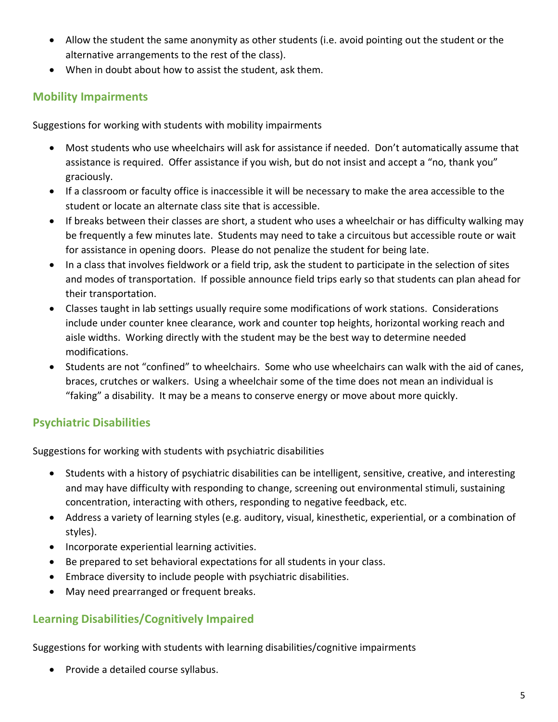- Allow the student the same anonymity as other students (i.e. avoid pointing out the student or the alternative arrangements to the rest of the class).
- When in doubt about how to assist the student, ask them.

#### **Mobility Impairments**

Suggestions for working with students with mobility impairments

- Most students who use wheelchairs will ask for assistance if needed. Don't automatically assume that assistance is required. Offer assistance if you wish, but do not insist and accept a "no, thank you" graciously.
- If a classroom or faculty office is inaccessible it will be necessary to make the area accessible to the student or locate an alternate class site that is accessible.
- If breaks between their classes are short, a student who uses a wheelchair or has difficulty walking may be frequently a few minutes late. Students may need to take a circuitous but accessible route or wait for assistance in opening doors. Please do not penalize the student for being late.
- In a class that involves fieldwork or a field trip, ask the student to participate in the selection of sites and modes of transportation. If possible announce field trips early so that students can plan ahead for their transportation.
- Classes taught in lab settings usually require some modifications of work stations. Considerations include under counter knee clearance, work and counter top heights, horizontal working reach and aisle widths. Working directly with the student may be the best way to determine needed modifications.
- Students are not "confined" to wheelchairs. Some who use wheelchairs can walk with the aid of canes, braces, crutches or walkers. Using a wheelchair some of the time does not mean an individual is "faking" a disability. It may be a means to conserve energy or move about more quickly.

## **Psychiatric Disabilities**

Suggestions for working with students with psychiatric disabilities

- Students with a history of psychiatric disabilities can be intelligent, sensitive, creative, and interesting and may have difficulty with responding to change, screening out environmental stimuli, sustaining concentration, interacting with others, responding to negative feedback, etc.
- Address a variety of learning styles (e.g. auditory, visual, kinesthetic, experiential, or a combination of styles).
- Incorporate experiential learning activities.
- Be prepared to set behavioral expectations for all students in your class.
- Embrace diversity to include people with psychiatric disabilities.
- May need prearranged or frequent breaks.

#### **Learning Disabilities/Cognitively Impaired**

Suggestions for working with students with learning disabilities/cognitive impairments

• Provide a detailed course syllabus.